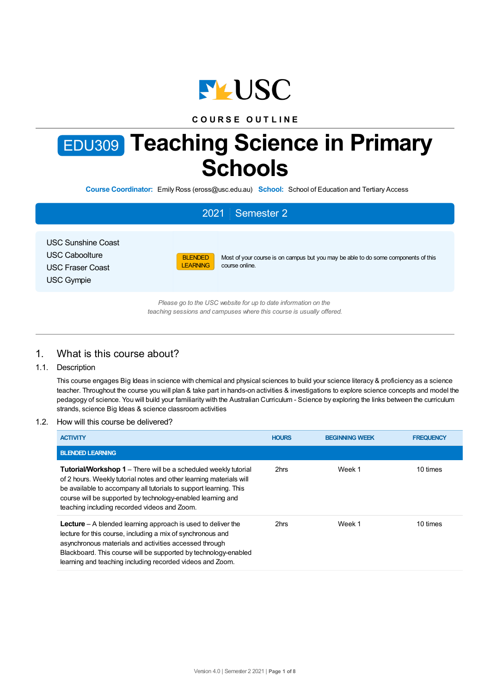

# **C O U R S E O U T L I N E**

# EDU309 **Teaching Science in Primary Schools**

**Course Coordinator:** Emily Ross (eross@usc.edu.au) **School:** School of Education and Tertiary Access

# 2021 Semester 2

USC Sunshine Coast USC Caboolture USC Fraser Coast USC Gympie



Most of your course is on campus but you may be able to do some components of this course online.

*Please go to the USC website for up to date information on the teaching sessions and campuses where this course is usually offered.*

# 1. What is this course about?

1.1. Description

This course engages Big Ideas in science with chemical and physical sciences to build your science literacy & proficiency as a science teacher. Throughout the course you will plan & take part in hands-on activities & investigations to explore science concepts and model the pedagogy of science. You will build your familiarity with the Australian Curriculum - Science by exploring the links between the curriculum strands, science Big Ideas & science classroom activities

#### 1.2. How will this course be delivered?

| <b>ACTIVITY</b>                                                                                                                                                                                                                                                                                                                   | <b>HOURS</b> | <b>BEGINNING WEEK</b> | <b>FREQUENCY</b> |
|-----------------------------------------------------------------------------------------------------------------------------------------------------------------------------------------------------------------------------------------------------------------------------------------------------------------------------------|--------------|-----------------------|------------------|
| <b>BLENDED LEARNING</b>                                                                                                                                                                                                                                                                                                           |              |                       |                  |
| <b>Tutorial/Workshop 1</b> – There will be a scheduled weekly tutorial<br>of 2 hours. Weekly tutorial notes and other learning materials will<br>be available to accompany all tutorials to support learning. This<br>course will be supported by technology-enabled learning and<br>teaching including recorded videos and Zoom. | 2hrs         | Week 1                | 10 times         |
| <b>Lecture</b> – A blended learning approach is used to deliver the<br>lecture for this course, including a mix of synchronous and<br>asynchronous materials and activities accessed through<br>Blackboard. This course will be supported by technology-enabled<br>learning and teaching including recorded videos and Zoom.      | 2hrs         | Week 1                | 10 times         |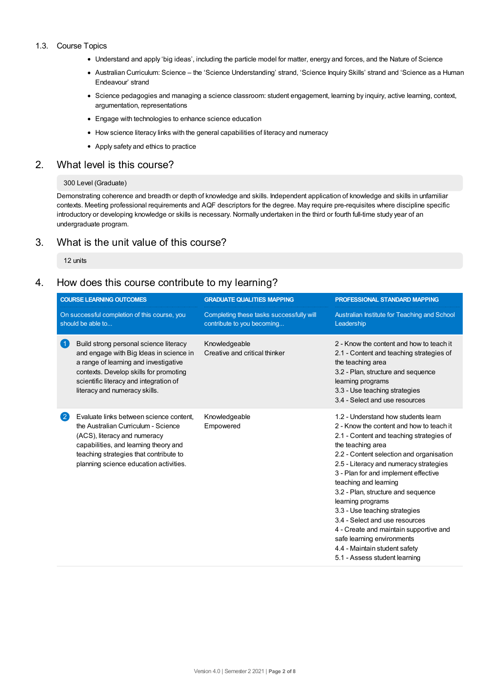#### 1.3. Course Topics

- Understand and apply 'big ideas', including the particle model for matter, energy and forces, and the Nature of Science
- Australian Curriculum: Science the 'Science Understanding' strand, 'Science Inquiry Skills' strand and 'Science as a Human Endeavour' strand
- Science pedagogies and managing a science classroom: student engagement, learning by inquiry, active learning, context, argumentation, representations
- Engage with technologies to enhance science education
- How science literacy links with the general capabilities of literacy and numeracy
- Apply safety and ethics to practice

## 2. What level is this course?

#### 300 Level (Graduate)

Demonstrating coherence and breadth or depth of knowledge and skills. Independent application of knowledge and skills in unfamiliar contexts. Meeting professional requirements and AQF descriptors for the degree. May require pre-requisites where discipline specific introductory or developing knowledge or skills is necessary. Normally undertaken in the third or fourth full-time study year of an undergraduate program.

# 3. What is the unit value of this course?

12 units

# 4. How does this course contribute to my learning?

|                                                                   | <b>COURSE LEARNING OUTCOMES</b>                                                                                                                                                                                                                 | <b>GRADUATE QUALITIES MAPPING</b>                                      | <b>PROFESSIONAL STANDARD MAPPING</b>                                                                                                                                                                                                                                                                                                                                                                                                                                                                                                                                            |
|-------------------------------------------------------------------|-------------------------------------------------------------------------------------------------------------------------------------------------------------------------------------------------------------------------------------------------|------------------------------------------------------------------------|---------------------------------------------------------------------------------------------------------------------------------------------------------------------------------------------------------------------------------------------------------------------------------------------------------------------------------------------------------------------------------------------------------------------------------------------------------------------------------------------------------------------------------------------------------------------------------|
| On successful completion of this course, you<br>should be able to |                                                                                                                                                                                                                                                 | Completing these tasks successfully will<br>contribute to you becoming | Australian Institute for Teaching and School<br>Leadership                                                                                                                                                                                                                                                                                                                                                                                                                                                                                                                      |
| $\blacktriangleleft$                                              | Build strong personal science literacy<br>and engage with Big Ideas in science in<br>a range of learning and investigative<br>contexts. Develop skills for promoting<br>scientific literacy and integration of<br>literacy and numeracy skills. | Knowledgeable<br>Creative and critical thinker                         | 2 - Know the content and how to teach it<br>2.1 - Content and teaching strategies of<br>the teaching area<br>3.2 - Plan, structure and sequence<br>learning programs<br>3.3 - Use teaching strategies<br>3.4 - Select and use resources                                                                                                                                                                                                                                                                                                                                         |
| $\mathbf{2}$                                                      | Evaluate links between science content,<br>the Australian Curriculum - Science<br>(ACS), literacy and numeracy<br>capabilities, and learning theory and<br>teaching strategies that contribute to<br>planning science education activities.     | Knowledgeable<br>Empowered                                             | 1.2 - Understand how students learn<br>2 - Know the content and how to teach it<br>2.1 - Content and teaching strategies of<br>the teaching area<br>2.2 - Content selection and organisation<br>2.5 - Literacy and numeracy strategies<br>3 - Plan for and implement effective<br>teaching and learning<br>3.2 - Plan, structure and sequence<br>learning programs<br>3.3 - Use teaching strategies<br>3.4 - Select and use resources<br>4 - Create and maintain supportive and<br>safe learning environments<br>4.4 - Maintain student safety<br>5.1 - Assess student learning |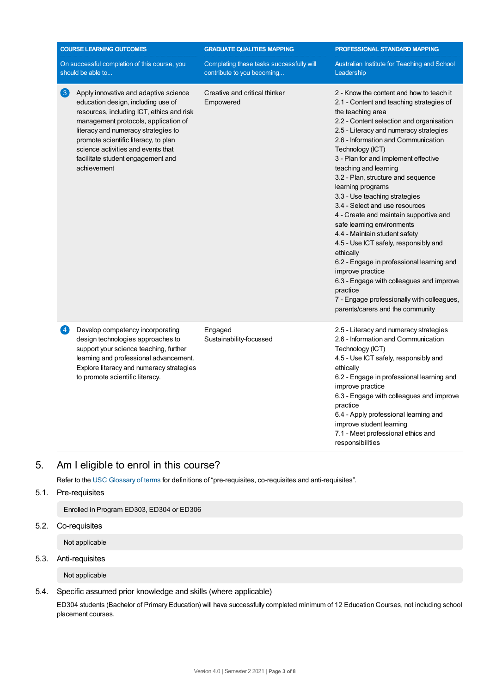|                   | <b>COURSE LEARNING OUTCOMES</b>                                                                                                                                                                                                                                                                                                           | <b>GRADUATE QUALITIES MAPPING</b>                                      | PROFESSIONAL STANDARD MAPPING                                                                                                                                                                                                                                                                                                                                                                                                                                                                                                                                                                                                                                                                                                                                                                                                       |
|-------------------|-------------------------------------------------------------------------------------------------------------------------------------------------------------------------------------------------------------------------------------------------------------------------------------------------------------------------------------------|------------------------------------------------------------------------|-------------------------------------------------------------------------------------------------------------------------------------------------------------------------------------------------------------------------------------------------------------------------------------------------------------------------------------------------------------------------------------------------------------------------------------------------------------------------------------------------------------------------------------------------------------------------------------------------------------------------------------------------------------------------------------------------------------------------------------------------------------------------------------------------------------------------------------|
|                   | On successful completion of this course, you<br>should be able to                                                                                                                                                                                                                                                                         | Completing these tasks successfully will<br>contribute to you becoming | Australian Institute for Teaching and School<br>Leadership                                                                                                                                                                                                                                                                                                                                                                                                                                                                                                                                                                                                                                                                                                                                                                          |
| $\lceil 3 \rceil$ | Apply innovative and adaptive science<br>education design, including use of<br>resources, including ICT, ethics and risk<br>management protocols, application of<br>literacy and numeracy strategies to<br>promote scientific literacy, to plan<br>science activities and events that<br>facilitate student engagement and<br>achievement | Creative and critical thinker<br>Empowered                             | 2 - Know the content and how to teach it<br>2.1 - Content and teaching strategies of<br>the teaching area<br>2.2 - Content selection and organisation<br>2.5 - Literacy and numeracy strategies<br>2.6 - Information and Communication<br>Technology (ICT)<br>3 - Plan for and implement effective<br>teaching and learning<br>3.2 - Plan, structure and sequence<br>learning programs<br>3.3 - Use teaching strategies<br>3.4 - Select and use resources<br>4 - Create and maintain supportive and<br>safe learning environments<br>4.4 - Maintain student safety<br>4.5 - Use ICT safely, responsibly and<br>ethically<br>6.2 - Engage in professional learning and<br>improve practice<br>6.3 - Engage with colleagues and improve<br>practice<br>7 - Engage professionally with colleagues,<br>parents/carers and the community |
| $\vert 4 \vert$   | Develop competency incorporating<br>design technologies approaches to<br>support your science teaching, further<br>learning and professional advancement.<br>Explore literacy and numeracy strategies<br>to promote scientific literacy.                                                                                                  | Engaged<br>Sustainability-focussed                                     | 2.5 - Literacy and numeracy strategies<br>2.6 - Information and Communication<br>Technology (ICT)<br>4.5 - Use ICT safely, responsibly and<br>ethically<br>6.2 - Engage in professional learning and<br>improve practice<br>6.3 - Engage with colleagues and improve<br>practice<br>6.4 - Apply professional learning and<br>improve student learning<br>7.1 - Meet professional ethics and<br>responsibilities                                                                                                                                                                                                                                                                                                                                                                                                                     |

# 5. Am Ieligible to enrol in this course?

Refer to the USC [Glossary](https://www.usc.edu.au/about/policies-and-procedures/glossary-of-terms-for-policy-and-procedures) of terms for definitions of "pre-requisites, co-requisites and anti-requisites".

5.1. Pre-requisites

Enrolled in Program ED303, ED304 or ED306

5.2. Co-requisites

Not applicable

# 5.3. Anti-requisites

Not applicable

5.4. Specific assumed prior knowledge and skills (where applicable)

ED304 students (Bachelor of Primary Education) will have successfully completed minimum of 12 Education Courses, not including school placement courses.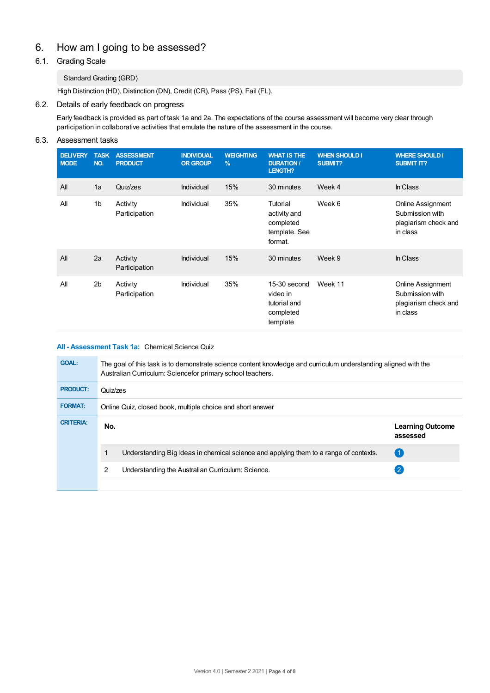# 6. How am Igoing to be assessed?

# 6.1. Grading Scale

## Standard Grading (GRD)

High Distinction (HD), Distinction (DN), Credit (CR), Pass (PS), Fail (FL).

## 6.2. Details of early feedback on progress

Early feedback is provided as part of task 1a and 2a. The expectations of the course assessment will become very clear through participation in collaborative activities that emulate the nature of the assessment in the course.

## 6.3. Assessment tasks

| <b>DELIVERY</b><br><b>MODE</b> | <b>TASK</b><br>NO. | <b>ASSESSMENT</b><br><b>PRODUCT</b> | <b>INDIVIDUAL</b><br><b>OR GROUP</b> | <b>WEIGHTING</b><br>$\frac{9}{6}$ | <b>WHAT IS THE</b><br><b>DURATION /</b><br>LENGTH?                | <b>WHEN SHOULD I</b><br>SUBMIT? | <b>WHERE SHOULD I</b><br><b>SUBMIT IT?</b>                                      |
|--------------------------------|--------------------|-------------------------------------|--------------------------------------|-----------------------------------|-------------------------------------------------------------------|---------------------------------|---------------------------------------------------------------------------------|
| All                            | 1a                 | Quiz/zes                            | Individual                           | 15%                               | 30 minutes                                                        | Week 4                          | In Class                                                                        |
| All                            | 1 <sub>b</sub>     | Activity<br>Participation           | Individual                           | 35%                               | Tutorial<br>activity and<br>completed<br>template. See<br>format. | Week 6                          | <b>Online Assignment</b><br>Submission with<br>plagiarism check and<br>in class |
| All                            | 2a                 | Activity<br>Participation           | Individual                           | 15%                               | 30 minutes                                                        | Week 9                          | In Class                                                                        |
| All                            | 2 <sub>b</sub>     | Activity<br>Participation           | Individual                           | 35%                               | 15-30 second<br>video in<br>tutorial and<br>completed<br>template | Week 11                         | Online Assignment<br>Submission with<br>plagiarism check and<br>in class        |

## **All - Assessment Task 1a:** Chemical Science Quiz

| <b>GOAL:</b>     | The goal of this task is to demonstrate science content knowledge and curriculum understanding aligned with the<br>Australian Curriculum: Sciencefor primary school teachers. |                                                                                       |                                     |  |  |
|------------------|-------------------------------------------------------------------------------------------------------------------------------------------------------------------------------|---------------------------------------------------------------------------------------|-------------------------------------|--|--|
| <b>PRODUCT:</b>  | Quiz/zes                                                                                                                                                                      |                                                                                       |                                     |  |  |
| <b>FORMAT:</b>   | Online Quiz, closed book, multiple choice and short answer                                                                                                                    |                                                                                       |                                     |  |  |
| <b>CRITERIA:</b> | No.                                                                                                                                                                           |                                                                                       | <b>Learning Outcome</b><br>assessed |  |  |
|                  |                                                                                                                                                                               | Understanding Big Ideas in chemical science and applying them to a range of contexts. | $^{\circ}$ 1                        |  |  |
|                  | 2                                                                                                                                                                             | Understanding the Australian Curriculum: Science.                                     |                                     |  |  |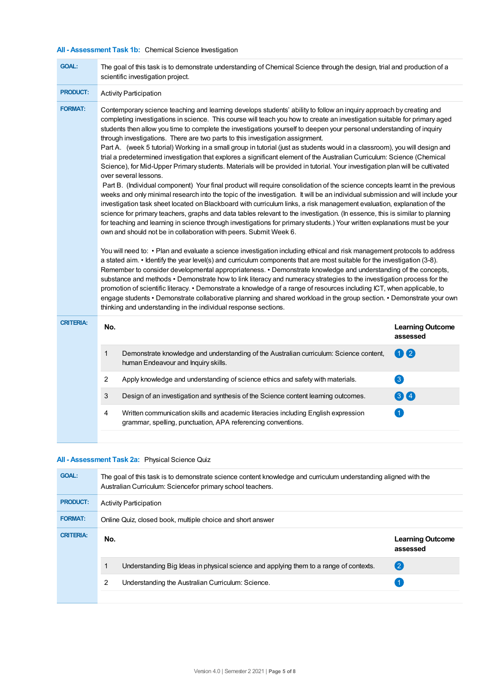# **All - Assessment Task 1b:** Chemical Science Investigation

| <b>GOAL:</b>     | The goal of this task is to demonstrate understanding of Chemical Science through the design, trial and production of a<br>scientific investigation project.                                                                                                                                                                                                                                                                                                                                                                                                                                                                                                                                                                                                                                                                                                                                                                                                                                                                                                                                                                                                                                                                                                                                                                                                                                                                                                                                                                                                                                                                                                                                                                                                                                                                                                                                                                                                                                                                                                                                                                                                                                                                            |                                     |  |  |
|------------------|-----------------------------------------------------------------------------------------------------------------------------------------------------------------------------------------------------------------------------------------------------------------------------------------------------------------------------------------------------------------------------------------------------------------------------------------------------------------------------------------------------------------------------------------------------------------------------------------------------------------------------------------------------------------------------------------------------------------------------------------------------------------------------------------------------------------------------------------------------------------------------------------------------------------------------------------------------------------------------------------------------------------------------------------------------------------------------------------------------------------------------------------------------------------------------------------------------------------------------------------------------------------------------------------------------------------------------------------------------------------------------------------------------------------------------------------------------------------------------------------------------------------------------------------------------------------------------------------------------------------------------------------------------------------------------------------------------------------------------------------------------------------------------------------------------------------------------------------------------------------------------------------------------------------------------------------------------------------------------------------------------------------------------------------------------------------------------------------------------------------------------------------------------------------------------------------------------------------------------------------|-------------------------------------|--|--|
| <b>PRODUCT:</b>  | <b>Activity Participation</b>                                                                                                                                                                                                                                                                                                                                                                                                                                                                                                                                                                                                                                                                                                                                                                                                                                                                                                                                                                                                                                                                                                                                                                                                                                                                                                                                                                                                                                                                                                                                                                                                                                                                                                                                                                                                                                                                                                                                                                                                                                                                                                                                                                                                           |                                     |  |  |
| <b>FORMAT:</b>   | Contemporary science teaching and learning develops students' ability to follow an inquiry approach by creating and<br>completing investigations in science. This course will teach you how to create an investigation suitable for primary aged<br>students then allow you time to complete the investigations yourself to deepen your personal understanding of inquiry<br>through investigations. There are two parts to this investigation assignment.<br>Part A. (week 5 tutorial) Working in a small group in tutorial (just as students would in a classroom), you will design and<br>trial a predetermined investigation that explores a significant element of the Australian Curriculum: Science (Chemical<br>Science), for Mid-Upper Primary students. Materials will be provided in tutorial. Your investigation plan will be cultivated<br>over several lessons.<br>Part B. (Individual component) Your final product will require consolidation of the science concepts learnt in the previous<br>weeks and only minimal research into the topic of the investigation. It will be an individual submission and will include your<br>investigation task sheet located on Blackboard with curriculum links, a risk management evaluation, explanation of the<br>science for primary teachers, graphs and data tables relevant to the investigation. (In essence, this is similar to planning<br>for teaching and learning in science through investigations for primary students.) Your written explanations must be your<br>own and should not be in collaboration with peers. Submit Week 6.<br>You will need to: • Plan and evaluate a science investigation including ethical and risk management protocols to address<br>a stated aim. • Identify the year level(s) and curriculum components that are most suitable for the investigation (3-8).<br>Remember to consider developmental appropriateness. • Demonstrate knowledge and understanding of the concepts,<br>substance and methods • Demonstrate how to link literacy and numeracy strategies to the investigation process for the<br>promotion of scientific literacy. • Demonstrate a knowledge of a range of resources including ICT, when applicable, to |                                     |  |  |
|                  | engage students • Demonstrate collaborative planning and shared workload in the group section. • Demonstrate your own<br>thinking and understanding in the individual response sections.                                                                                                                                                                                                                                                                                                                                                                                                                                                                                                                                                                                                                                                                                                                                                                                                                                                                                                                                                                                                                                                                                                                                                                                                                                                                                                                                                                                                                                                                                                                                                                                                                                                                                                                                                                                                                                                                                                                                                                                                                                                |                                     |  |  |
| <b>CRITERIA:</b> | No.                                                                                                                                                                                                                                                                                                                                                                                                                                                                                                                                                                                                                                                                                                                                                                                                                                                                                                                                                                                                                                                                                                                                                                                                                                                                                                                                                                                                                                                                                                                                                                                                                                                                                                                                                                                                                                                                                                                                                                                                                                                                                                                                                                                                                                     | <b>Learning Outcome</b><br>assessed |  |  |
|                  | $\mathbf 1$<br>Demonstrate knowledge and understanding of the Australian curriculum: Science content,<br>human Endeavour and Inquiry skills.                                                                                                                                                                                                                                                                                                                                                                                                                                                                                                                                                                                                                                                                                                                                                                                                                                                                                                                                                                                                                                                                                                                                                                                                                                                                                                                                                                                                                                                                                                                                                                                                                                                                                                                                                                                                                                                                                                                                                                                                                                                                                            | 00                                  |  |  |
|                  | 2<br>Apply knowledge and understanding of science ethics and safety with materials.                                                                                                                                                                                                                                                                                                                                                                                                                                                                                                                                                                                                                                                                                                                                                                                                                                                                                                                                                                                                                                                                                                                                                                                                                                                                                                                                                                                                                                                                                                                                                                                                                                                                                                                                                                                                                                                                                                                                                                                                                                                                                                                                                     | 3                                   |  |  |
|                  | 3<br>Design of an investigation and synthesis of the Science content learning outcomes.                                                                                                                                                                                                                                                                                                                                                                                                                                                                                                                                                                                                                                                                                                                                                                                                                                                                                                                                                                                                                                                                                                                                                                                                                                                                                                                                                                                                                                                                                                                                                                                                                                                                                                                                                                                                                                                                                                                                                                                                                                                                                                                                                 | 60                                  |  |  |
|                  | Written communication skills and academic literacies including English expression<br>4<br>grammar, spelling, punctuation, APA referencing conventions.                                                                                                                                                                                                                                                                                                                                                                                                                                                                                                                                                                                                                                                                                                                                                                                                                                                                                                                                                                                                                                                                                                                                                                                                                                                                                                                                                                                                                                                                                                                                                                                                                                                                                                                                                                                                                                                                                                                                                                                                                                                                                  | $\vert$ 1                           |  |  |
|                  |                                                                                                                                                                                                                                                                                                                                                                                                                                                                                                                                                                                                                                                                                                                                                                                                                                                                                                                                                                                                                                                                                                                                                                                                                                                                                                                                                                                                                                                                                                                                                                                                                                                                                                                                                                                                                                                                                                                                                                                                                                                                                                                                                                                                                                         |                                     |  |  |

## **All - Assessment Task 2a:** Physical Science Quiz

| <b>GOAL:</b>     | The goal of this task is to demonstrate science content knowledge and curriculum understanding aligned with the<br>Australian Curriculum: Sciencefor primary school teachers. |                                     |  |  |  |
|------------------|-------------------------------------------------------------------------------------------------------------------------------------------------------------------------------|-------------------------------------|--|--|--|
| <b>PRODUCT:</b>  | <b>Activity Participation</b>                                                                                                                                                 |                                     |  |  |  |
| <b>FORMAT:</b>   | Online Quiz, closed book, multiple choice and short answer                                                                                                                    |                                     |  |  |  |
| <b>CRITERIA:</b> | No.                                                                                                                                                                           | <b>Learning Outcome</b><br>assessed |  |  |  |
|                  | Understanding Big Ideas in physical science and applying them to a range of contexts.                                                                                         | (2)                                 |  |  |  |
|                  | 2<br>Understanding the Australian Curriculum: Science.                                                                                                                        |                                     |  |  |  |
|                  |                                                                                                                                                                               |                                     |  |  |  |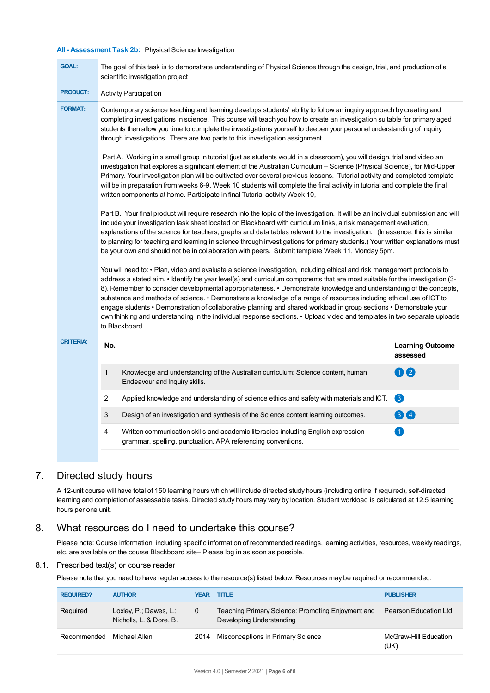#### **All - Assessment Task 2b:** Physical Science Investigation

| <b>GOAL:</b>     | The goal of this task is to demonstrate understanding of Physical Science through the design, trial, and production of a<br>scientific investigation project                                                                                                                                                                                                                                                                                                                                                                                                                                                                                                                                                                                                               |                                     |  |  |  |
|------------------|----------------------------------------------------------------------------------------------------------------------------------------------------------------------------------------------------------------------------------------------------------------------------------------------------------------------------------------------------------------------------------------------------------------------------------------------------------------------------------------------------------------------------------------------------------------------------------------------------------------------------------------------------------------------------------------------------------------------------------------------------------------------------|-------------------------------------|--|--|--|
| <b>PRODUCT:</b>  | <b>Activity Participation</b>                                                                                                                                                                                                                                                                                                                                                                                                                                                                                                                                                                                                                                                                                                                                              |                                     |  |  |  |
| <b>FORMAT:</b>   | Contemporary science teaching and learning develops students' ability to follow an inquiry approach by creating and<br>completing investigations in science. This course will teach you how to create an investigation suitable for primary aged<br>students then allow you time to complete the investigations yourself to deepen your personal understanding of inquiry<br>through investigations. There are two parts to this investigation assignment.                                                                                                                                                                                                                                                                                                                 |                                     |  |  |  |
|                  | Part A. Working in a small group in tutorial (just as students would in a classroom), you will design, trial and video an<br>investigation that explores a significant element of the Australian Curriculum – Science (Physical Science), for Mid-Upper<br>Primary. Your investigation plan will be cultivated over several previous lessons. Tutorial activity and completed template<br>will be in preparation from weeks 6-9. Week 10 students will complete the final activity in tutorial and complete the final<br>written components at home. Participate in final Tutorial activity Week 10,                                                                                                                                                                       |                                     |  |  |  |
|                  | Part B. Your final product will require research into the topic of the investigation. It will be an individual submission and will<br>include your investigation task sheet located on Blackboard with curriculum links, a risk management evaluation,<br>explanations of the science for teachers, graphs and data tables relevant to the investigation. (In essence, this is similar<br>to planning for teaching and learning in science through investigations for primary students.) Your written explanations must<br>be your own and should not be in collaboration with peers. Submit template Week 11, Monday 5pm.                                                                                                                                                 |                                     |  |  |  |
|                  | You will need to: • Plan, video and evaluate a science investigation, including ethical and risk management protocols to<br>address a stated aim. • Identify the year level(s) and curriculum components that are most suitable for the investigation (3-<br>8). Remember to consider developmental appropriateness. • Demonstrate knowledge and understanding of the concepts,<br>substance and methods of science. • Demonstrate a knowledge of a range of resources including ethical use of ICT to<br>engage students • Demonstration of collaborative planning and shared workload in group sections • Demonstrate your<br>own thinking and understanding in the individual response sections. • Upload video and templates in two separate uploads<br>to Blackboard. |                                     |  |  |  |
| <b>CRITERIA:</b> | No.                                                                                                                                                                                                                                                                                                                                                                                                                                                                                                                                                                                                                                                                                                                                                                        | <b>Learning Outcome</b><br>assessed |  |  |  |
|                  | 1<br>Knowledge and understanding of the Australian curriculum: Science content, human<br>Endeavour and Inquiry skills.                                                                                                                                                                                                                                                                                                                                                                                                                                                                                                                                                                                                                                                     | $\mathbf Q$<br>0                    |  |  |  |
|                  | 2<br>Applied knowledge and understanding of science ethics and safety with materials and ICT.                                                                                                                                                                                                                                                                                                                                                                                                                                                                                                                                                                                                                                                                              | 3                                   |  |  |  |
|                  | 3<br>Design of an investigation and synthesis of the Science content learning outcomes.                                                                                                                                                                                                                                                                                                                                                                                                                                                                                                                                                                                                                                                                                    | 64                                  |  |  |  |
|                  | 4<br>Written communication skills and academic literacies including English expression<br>grammar, spelling, punctuation, APA referencing conventions.                                                                                                                                                                                                                                                                                                                                                                                                                                                                                                                                                                                                                     | $\vert$ 1.                          |  |  |  |
|                  |                                                                                                                                                                                                                                                                                                                                                                                                                                                                                                                                                                                                                                                                                                                                                                            |                                     |  |  |  |

# 7. Directed study hours

A 12-unit course will have total of 150 learning hours which will include directed study hours (including online if required), self-directed learning and completion of assessable tasks. Directed study hours may vary by location. Student workload is calculated at 12.5 learning hours per one unit.

# 8. What resources do I need to undertake this course?

Please note: Course information, including specific information of recommended readings, learning activities, resources, weekly readings, etc. are available on the course Blackboard site– Please log in as soon as possible.

#### 8.1. Prescribed text(s) or course reader

Please note that you need to have regular access to the resource(s) listed below. Resources may be required or recommended.

| <b>REQUIRED?</b> | <b>AUTHOR</b>                                        | YEAR | <b>TITLE</b>                                                                  | <b>PUBLISHER</b>              |
|------------------|------------------------------------------------------|------|-------------------------------------------------------------------------------|-------------------------------|
| Required         | Loxley, $P$ .; Dawes, L.;<br>Nicholls, L. & Dore, B. | 0    | Teaching Primary Science: Promoting Enjoyment and<br>Developing Understanding | Pearson Education Ltd         |
| Recommended      | Michael Allen                                        | 2014 | Misconceptions in Primary Science                                             | McGraw-Hill Education<br>(UK) |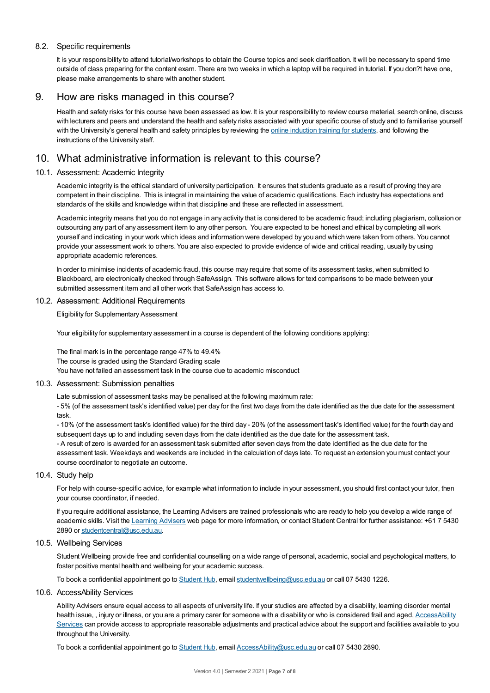#### 8.2. Specific requirements

It is your responsibility to attend tutorial/workshops to obtain the Course topics and seek clarification. It will be necessary to spend time outside of class preparing for the content exam. There are two weeks in which a laptop will be required in tutorial. If you don?t have one, please make arrangements to share with another student.

# 9. How are risks managed in this course?

Health and safety risks for this course have been assessed as low. It is your responsibility to review course material, search online, discuss with lecturers and peers and understand the health and safety risks associated with your specific course of study and to familiarise yourself with the University's general health and safety principles by reviewing the online [induction](https://online.usc.edu.au/webapps/blackboard/content/listContentEditable.jsp?content_id=_632657_1&course_id=_14432_1) training for students, and following the instructions of the University staff.

# 10. What administrative information is relevant to this course?

#### 10.1. Assessment: Academic Integrity

Academic integrity is the ethical standard of university participation. It ensures that students graduate as a result of proving they are competent in their discipline. This is integral in maintaining the value of academic qualifications. Each industry has expectations and standards of the skills and knowledge within that discipline and these are reflected in assessment.

Academic integrity means that you do not engage in any activity that is considered to be academic fraud; including plagiarism, collusion or outsourcing any part of any assessment item to any other person. You are expected to be honest and ethical by completing all work yourself and indicating in your work which ideas and information were developed by you and which were taken from others. You cannot provide your assessment work to others.You are also expected to provide evidence of wide and critical reading, usually by using appropriate academic references.

In order to minimise incidents of academic fraud, this course may require that some of its assessment tasks, when submitted to Blackboard, are electronically checked through SafeAssign. This software allows for text comparisons to be made between your submitted assessment item and all other work that SafeAssign has access to.

#### 10.2. Assessment: Additional Requirements

Eligibility for Supplementary Assessment

Your eligibility for supplementary assessment in a course is dependent of the following conditions applying:

The final mark is in the percentage range 47% to 49.4% The course is graded using the Standard Grading scale You have not failed an assessment task in the course due to academic misconduct

#### 10.3. Assessment: Submission penalties

Late submission of assessment tasks may be penalised at the following maximum rate:

- 5% (of the assessment task's identified value) per day for the first two days from the date identified as the due date for the assessment task.

- 10% (of the assessment task's identified value) for the third day - 20% (of the assessment task's identified value) for the fourth day and subsequent days up to and including seven days from the date identified as the due date for the assessment task.

- A result of zero is awarded for an assessment task submitted after seven days from the date identified as the due date for the assessment task. Weekdays and weekends are included in the calculation of days late. To request an extension you must contact your course coordinator to negotiate an outcome.

#### 10.4. Study help

For help with course-specific advice, for example what information to include in your assessment, you should first contact your tutor, then your course coordinator, if needed.

If you require additional assistance, the Learning Advisers are trained professionals who are ready to help you develop a wide range of academic skills. Visit the Learning [Advisers](https://www.usc.edu.au/current-students/student-support/academic-and-study-support/learning-advisers) web page for more information, or contact Student Central for further assistance: +61 7 5430 2890 or [studentcentral@usc.edu.au](mailto:studentcentral@usc.edu.au).

#### 10.5. Wellbeing Services

Student Wellbeing provide free and confidential counselling on a wide range of personal, academic, social and psychological matters, to foster positive mental health and wellbeing for your academic success.

To book a confidential appointment go to [Student](https://studenthub.usc.edu.au/) Hub, email [studentwellbeing@usc.edu.au](mailto:studentwellbeing@usc.edu.au) or call 07 5430 1226.

#### 10.6. AccessAbility Services

Ability Advisers ensure equal access to all aspects of university life. If your studies are affected by a disability, learning disorder mental health issue, , injury or illness, or you are a primary carer for someone with a disability or who is considered frail and aged, [AccessAbility](https://www.usc.edu.au/learn/student-support/accessability-services/documentation-requirements) Services can provide access to appropriate reasonable adjustments and practical advice about the support and facilities available to you throughout the University.

To book a confidential appointment go to [Student](https://studenthub.usc.edu.au/) Hub, email [AccessAbility@usc.edu.au](mailto:AccessAbility@usc.edu.au) or call 07 5430 2890.